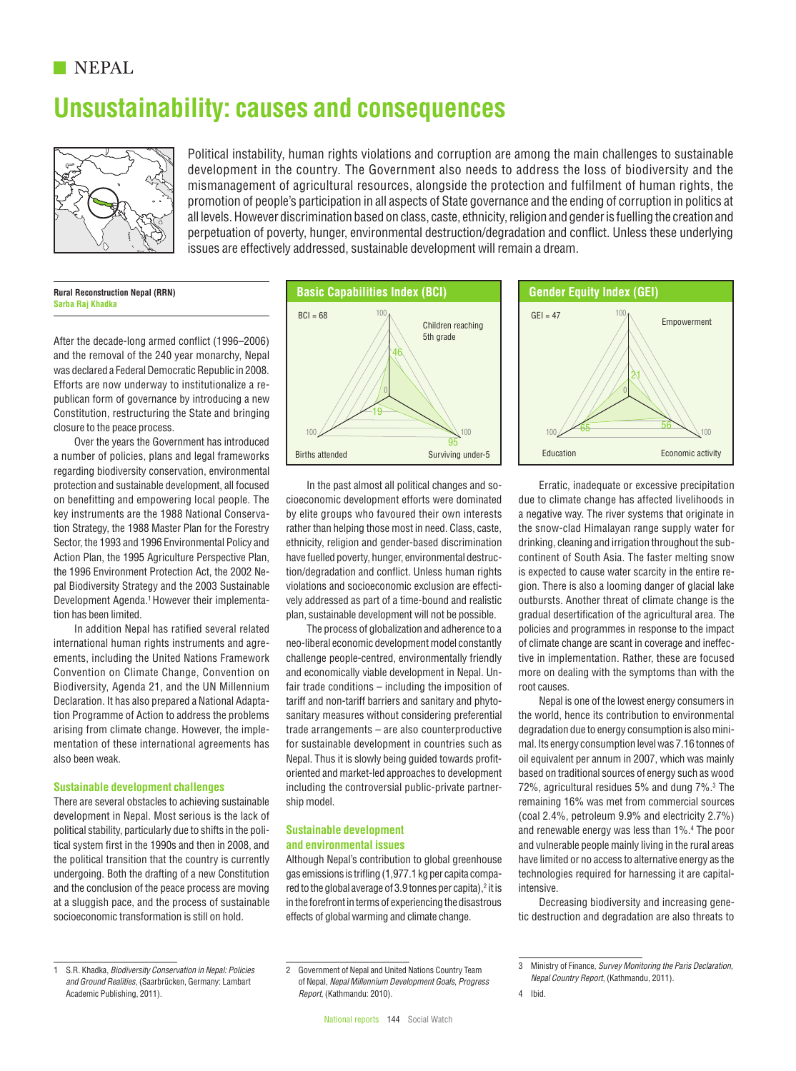## **NEPAL**

# **Unsustainability: causes and consequences**



Political instability, human rights violations and corruption are among the main challenges to sustainable development in the country. The Government also needs to address the loss of biodiversity and the mismanagement of agricultural resources, alongside the protection and fulfilment of human rights, the promotion of people's participation in all aspects of State governance and the ending of corruption in politics at all levels. However discrimination based on class, caste, ethnicity, religion and gender is fuelling the creation and perpetuation of poverty, hunger, environmental destruction/degradation and conflict. Unless these underlying issues are effectively addressed, sustainable development will remain a dream.

**Rural Reconstruction Nepal (RRN) Sarba Raj Khadka**

After the decade-long armed conflict (1996–2006) and the removal of the 240 year monarchy, Nepal was declared a Federal Democratic Republic in 2008. Efforts are now underway to institutionalize a republican form of governance by introducing a new Constitution, restructuring the State and bringing closure to the peace process.

Over the years the Government has introduced a number of policies, plans and legal frameworks regarding biodiversity conservation, environmental protection and sustainable development, all focused on benefitting and empowering local people. The key instruments are the 1988 National Conservation Strategy, the 1988 Master Plan for the Forestry Sector, the 1993 and 1996 Environmental Policy and Action Plan, the 1995 Agriculture Perspective Plan, the 1996 Environment Protection Act, the 2002 Nepal Biodiversity Strategy and the 2003 Sustainable Development Agenda.1 However their implementation has been limited.

In addition Nepal has ratified several related international human rights instruments and agreements, including the United Nations Framework Convention on Climate Change, Convention on Biodiversity, Agenda 21, and the UN Millennium Declaration. It has also prepared a National Adaptation Programme of Action to address the problems arising from climate change. However, the implementation of these international agreements has also been weak.

#### **Sustainable development challenges**

There are several obstacles to achieving sustainable development in Nepal. Most serious is the lack of political stability, particularly due to shifts in the political system first in the 1990s and then in 2008, and the political transition that the country is currently undergoing. Both the drafting of a new Constitution and the conclusion of the peace process are moving at a sluggish pace, and the process of sustainable socioeconomic transformation is still on hold.



In the past almost all political changes and socioeconomic development efforts were dominated by elite groups who favoured their own interests rather than helping those most in need. Class, caste, ethnicity, religion and gender-based discrimination have fuelled poverty, hunger, environmental destruction/degradation and conflict. Unless human rights violations and socioeconomic exclusion are effectively addressed as part of a time-bound and realistic plan, sustainable development will not be possible.

The process of globalization and adherence to a neo-liberal economic development model constantly challenge people-centred, environmentally friendly and economically viable development in Nepal. Unfair trade conditions – including the imposition of tariff and non-tariff barriers and sanitary and phytosanitary measures without considering preferential trade arrangements – are also counterproductive for sustainable development in countries such as Nepal. Thus it is slowly being guided towards profitoriented and market-led approaches to development including the controversial public-private partnership model.

#### **Sustainable development and environmental issues**

Although Nepal's contribution to global greenhouse gas emissions is trifling (1,977.1 kg per capita compared to the global average of 3.9 tonnes per capita), $2$  it is in the forefront in terms of experiencing the disastrous effects of global warming and climate change.



Erratic, inadequate or excessive precipitation due to climate change has affected livelihoods in a negative way. The river systems that originate in the snow-clad Himalayan range supply water for drinking, cleaning and irrigation throughout the subcontinent of South Asia. The faster melting snow is expected to cause water scarcity in the entire region. There is also a looming danger of glacial lake outbursts. Another threat of climate change is the gradual desertification of the agricultural area. The policies and programmes in response to the impact of climate change are scant in coverage and ineffective in implementation. Rather, these are focused more on dealing with the symptoms than with the root causes.

Nepal is one of the lowest energy consumers in the world, hence its contribution to environmental degradation due to energy consumption is also minimal. Its energy consumption level was 7.16 tonnes of oil equivalent per annum in 2007, which was mainly based on traditional sources of energy such as wood 72%, agricultural residues 5% and dung 7%.<sup>3</sup> The remaining 16% was met from commercial sources (coal 2.4%, petroleum 9.9% and electricity 2.7%) and renewable energy was less than 1%.4 The poor and vulnerable people mainly living in the rural areas have limited or no access to alternative energy as the technologies required for harnessing it are capitalintensive.

Decreasing biodiversity and increasing genetic destruction and degradation are also threats to

<sup>1</sup> S.R. Khadka, *Biodiversity Conservation in Nepal: Policies and Ground Realities*, (Saarbrücken, Germany: Lambart Academic Publishing, 2011).

<sup>2</sup> Government of Nepal and United Nations Country Team of Nepal, *Nepal Millennium Development Goals, Progress Report*, (Kathmandu: 2010).

<sup>3</sup> Ministry of Finance, *Survey Monitoring the Paris Declaration, Nepal Country Report*, (Kathmandu, 2011).

<sup>4</sup> Ibid.